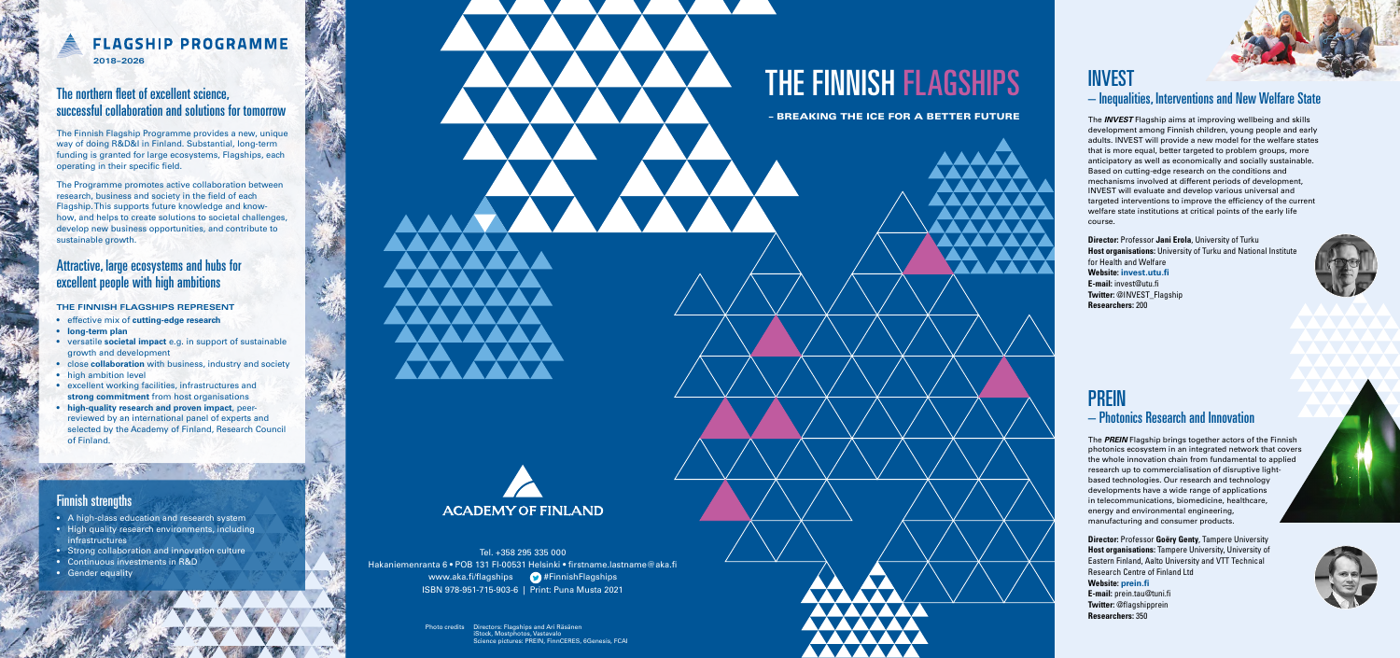Tel. +358 295 335 000 Hakaniemenranta 6 • POB 131 FI-00531 Helsinki • firstname.lastname@aka.fi www.aka.fi/flagships **19 #FinnishFlagships** ISBN 978-951-715-903-6 | Print: Puna Musta 2021

# THE FINNISH FLAGSHIPS

– BREAKING THE ICE FOR A BETTER FUTURE

#### The northern fleet of excellent science, successful collaboration and solutions for tomorrow

The Finnish Flagship Programme provides a new, unique way of doing R&D&I in Finland. Substantial, long-term funding is granted for large ecosystems, Flagships, each operating in their specific field.

The Programme promotes active collaboration between research, business and society in the field of each Flagship. This supports future knowledge and knowhow, and helps to create solutions to societal challenges, develop new business opportunities, and contribute to sustainable growth.

#### Attractive, large ecosystems and hubs for excellent people with high ambitions

#### **THE FINNISH FLAGSHIPS REPRESENT**

- effective mix of **cutting-edge research**
- **long-term plan**
- versatile **societal impact** e.g. in support of sustainable growth and development
- close **collaboration** with business, industry and society
- high ambition level
- excellent working facilities, infrastructures and **strong commitment** from host organisations
- **high-quality research and proven impact**, peerreviewed by an international panel of experts and selected by the Academy of Finland, Research Council of Finland.

Directors: Flagships and Ari Räsänen iStock, Mostphotos, Vastavalo Science pictures: PREIN, FinnCERES, 6Genesis, FCAI Photo credits

# **FLAGSHIP PROGRAMME**

**2018–2026**

#### Finnish strengths

- A high-class education and research system
- High quality research environments, including infrastructures
- Strong collaboration and innovation culture
- Continuous investments in R&D
- Gender equality

# **ACADEMY OF FINLAND**

# INVEST – Inequalities, Interventions and New Welfare State

The *INVEST* Flagship aims at improving wellbeing and skills development among Finnish children, young people and early adults. INVEST will provide a new model for the welfare states that is more equal, better targeted to problem groups, more anticipatory as well as economically and socially sustainable. Based on cutting-edge research on the conditions and mechanisms involved at different periods of development, INVEST will evaluate and develop various universal and targeted interventions to improve the efficiency of the current welfare state institutions at critical points of the early life course.

**Director:** Professor **Jani Erola**, University of Turku **Host organisations:** University of Turku and National Institute for Health and Welfare **Website: [invest.utu.fi](http://invest.utu.fi/) E-mail:** [invest@utu.fi](mailto:invest@utu.fi) **Twitter: @INVEST\_Flagship Researchers:** 200



# PREIN – Photonics Research and Innovation

The *PREIN* Flagship brings together actors of the Finnish photonics ecosystem in an integrated network that covers the whole innovation chain from fundamental to applied research up to commercialisation of disruptive lightbased technologies. Our research and technology developments have a wide range of applications in telecommunications, biomedicine, healthcare, energy and environmental engineering, manufacturing and consumer products.

**Director:** Professor **Goëry Genty**, Tampere University **Host organisations:** Tampere University, University of Eastern Finland, Aalto University and VTT Technical Research Centre of Finland Ltd **Website: [prein.fi](http://www.prein.fi) E-mail:** prein.tau@tuni.fi **Twitter:** @flagshipprein **Researchers:** 350